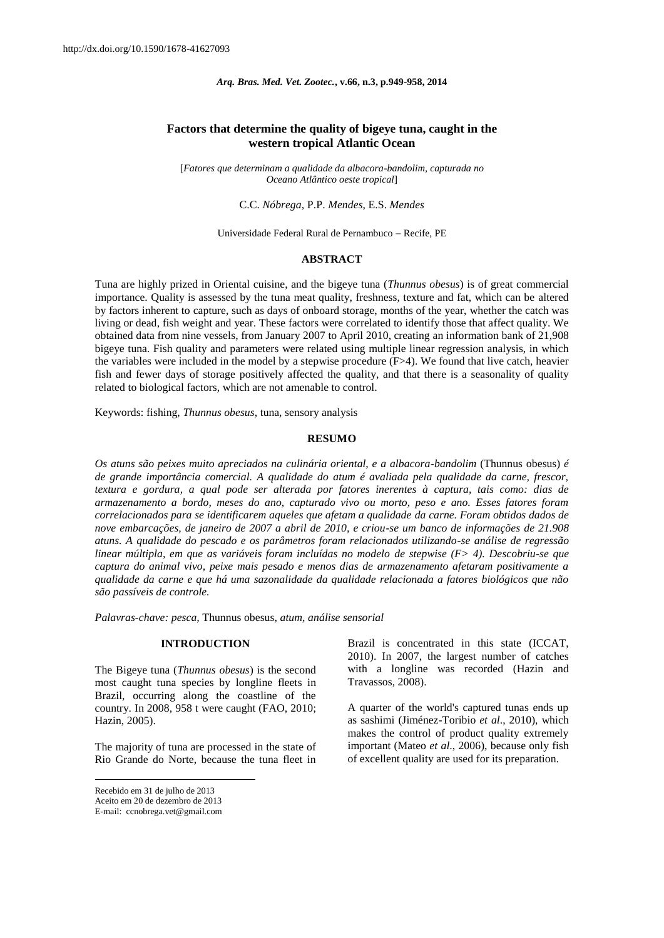# **Factors that determine the quality of bigeye tuna, caught in the western tropical Atlantic Ocean**

[*Fatores que determinam a qualidade da albacora-bandolim, capturada no Oceano Atlântico oeste tropical*]

### C.C. *Nóbrega*, P.P. *Mendes*, E.S. *Mendes*

Universidade Federal Rural de Pernambuco - Recife, PE

#### **ABSTRACT**

Tuna are highly prized in Oriental cuisine, and the bigeye tuna (*Thunnus obesus*) is of great commercial importance. Quality is assessed by the tuna meat quality, freshness, texture and fat, which can be altered by factors inherent to capture, such as days of onboard storage, months of the year, whether the catch was living or dead, fish weight and year. These factors were correlated to identify those that affect quality. We obtained data from nine vessels, from January 2007 to April 2010, creating an information bank of 21,908 bigeye tuna. Fish quality and parameters were related using multiple linear regression analysis, in which the variables were included in the model by a stepwise procedure (F>4). We found that live catch, heavier fish and fewer days of storage positively affected the quality, and that there is a seasonality of quality related to biological factors, which are not amenable to control.

Keywords: fishing, *Thunnus obesus*, tuna, sensory analysis

### **RESUMO**

*Os atuns são peixes muito apreciados na culinária oriental, e a albacora-bandolim* (Thunnus obesus) *é de grande importância comercial. A qualidade do atum é avaliada pela qualidade da carne, frescor, textura e gordura, a qual pode ser alterada por fatores inerentes à captura, tais como: dias de armazenamento a bordo, meses do ano, capturado vivo ou morto, peso e ano. Esses fatores foram correlacionados para se identificarem aqueles que afetam a qualidade da carne. Foram obtidos dados de nove embarcações, de janeiro de 2007 a abril de 2010, e criou-se um banco de informações de 21.908 atuns. A qualidade do pescado e os parâmetros foram relacionados utilizando-se análise de regressão linear múltipla, em que as variáveis foram incluídas no modelo de stepwise (F> 4). Descobriu-se que captura do animal vivo, peixe mais pesado e menos dias de armazenamento afetaram positivamente a qualidade da carne e que há uma sazonalidade da qualidade relacionada a fatores biológicos que não são passíveis de controle.*

*Palavras-chave: pesca,* Thunnus obesus, *atum, análise sensorial*

### **INTRODUCTION**

The Bigeye tuna (*Thunnus obesus*) is the second most caught tuna species by longline fleets in Brazil, occurring along the coastline of the country. In 2008, 958 t were caught (FAO, 2010; Hazin, 2005).

The majority of tuna are processed in the state of Rio Grande do Norte, because the tuna fleet in

 $\overline{\phantom{a}}$ 

Brazil is concentrated in this state (ICCAT, 2010). In 2007, the largest number of catches with a longline was recorded (Hazin and Travassos, 2008).

A quarter of the world's captured tunas ends up as sashimi (Jiménez-Toribio *et al*., 2010), which makes the control of product quality extremely important (Mateo *et al*., 2006), because only fish of excellent quality are used for its preparation.

Recebido em 31 de julho de 2013

Aceito em 20 de dezembro de 2013

E-mail[: ccnobrega.vet@gmail.com](http://cpro4576.publiccloud.com.br:8080/editora/trabalho/detalha.do?codigo=9625)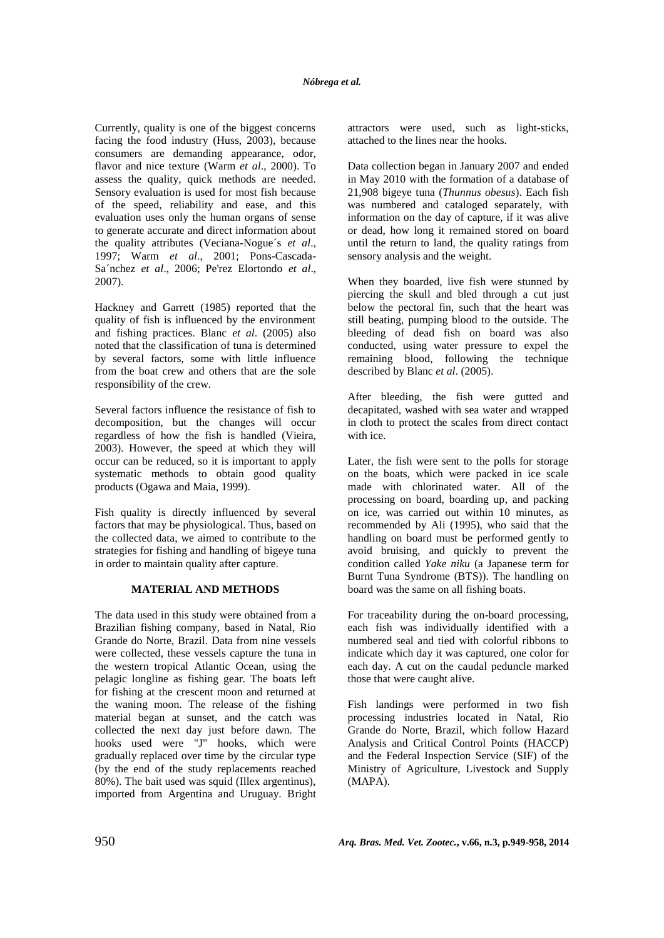Currently, quality is one of the biggest concerns facing the food industry (Huss, 2003), because consumers are demanding appearance, odor, flavor and nice texture (Warm *et al*., 2000). To assess the quality, quick methods are needed. Sensory evaluation is used for most fish because of the speed, reliability and ease, and this evaluation uses only the human organs of sense to generate accurate and direct information about the quality attributes (Veciana-Nogue´s *et al*., 1997; Warm *et al*., 2001; Pons-Cascada-Sa´nchez *et al*., 2006; Pe'rez Elortondo *et al*., 2007).

Hackney and Garrett (1985) reported that the quality of fish is influenced by the environment and fishing practices. Blanc *et al*. (2005) also noted that the classification of tuna is determined by several factors, some with little influence from the boat crew and others that are the sole responsibility of the crew.

Several factors influence the resistance of fish to decomposition, but the changes will occur regardless of how the fish is handled (Vieira, 2003). However, the speed at which they will occur can be reduced, so it is important to apply systematic methods to obtain good quality products (Ogawa and Maia, 1999).

Fish quality is directly influenced by several factors that may be physiological. Thus, based on the collected data, we aimed to contribute to the strategies for fishing and handling of bigeye tuna in order to maintain quality after capture.

## **MATERIAL AND METHODS**

The data used in this study were obtained from a Brazilian fishing company, based in Natal, Rio Grande do Norte, Brazil. Data from nine vessels were collected, these vessels capture the tuna in the western tropical Atlantic Ocean, using the pelagic longline as fishing gear. The boats left for fishing at the crescent moon and returned at the waning moon. The release of the fishing material began at sunset, and the catch was collected the next day just before dawn. The hooks used were "J" hooks, which were gradually replaced over time by the circular type (by the end of the study replacements reached 80%). The bait used was squid (Illex argentinus), imported from Argentina and Uruguay. Bright attractors were used, such as light-sticks, attached to the lines near the hooks.

Data collection began in January 2007 and ended in May 2010 with the formation of a database of 21,908 bigeye tuna (*Thunnus obesus*). Each fish was numbered and cataloged separately, with information on the day of capture, if it was alive or dead, how long it remained stored on board until the return to land, the quality ratings from sensory analysis and the weight.

When they boarded, live fish were stunned by piercing the skull and bled through a cut just below the pectoral fin, such that the heart was still beating, pumping blood to the outside. The bleeding of dead fish on board was also conducted, using water pressure to expel the remaining blood, following the technique described by Blanc *et al*. (2005).

After bleeding, the fish were gutted and decapitated, washed with sea water and wrapped in cloth to protect the scales from direct contact with ice.

Later, the fish were sent to the polls for storage on the boats, which were packed in ice scale made with chlorinated water. All of the processing on board, boarding up, and packing on ice, was carried out within 10 minutes, as recommended by Ali (1995), who said that the handling on board must be performed gently to avoid bruising, and quickly to prevent the condition called *Yake niku* (a Japanese term for Burnt Tuna Syndrome (BTS)). The handling on board was the same on all fishing boats.

For traceability during the on-board processing, each fish was individually identified with a numbered seal and tied with colorful ribbons to indicate which day it was captured, one color for each day. A cut on the caudal peduncle marked those that were caught alive.

Fish landings were performed in two fish processing industries located in Natal, Rio Grande do Norte, Brazil, which follow Hazard Analysis and Critical Control Points (HACCP) and the Federal Inspection Service (SIF) of the Ministry of Agriculture, Livestock and Supply (MAPA).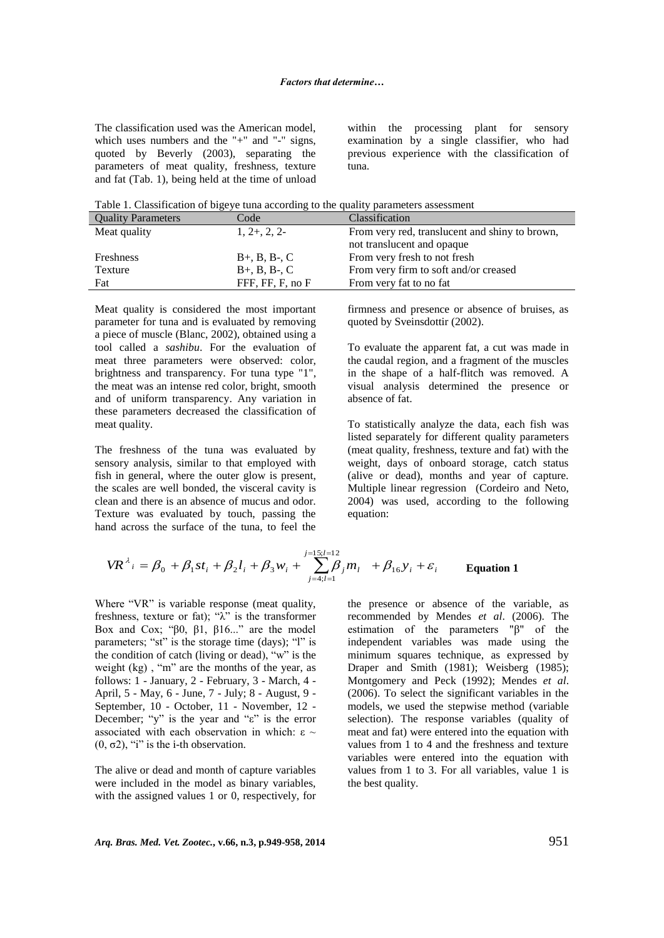The classification used was the American model, which uses numbers and the "+" and "-" signs, quoted by Beverly (2003), separating the parameters of meat quality, freshness, texture and fat (Tab. 1), being held at the time of unload within the processing plant for sensory examination by a single classifier, who had previous experience with the classification of tuna.

Table 1. Classification of bigeye tuna according to the quality parameters assessment

| <b>Quality Parameters</b> | Code                 | Classification                                 |
|---------------------------|----------------------|------------------------------------------------|
| Meat quality              | $1, 2+, 2, 2-$       | From very red, translucent and shiny to brown, |
|                           |                      | not translucent and opaque                     |
| Freshness                 | $B_{+}$ , B, B-, C   | From very fresh to not fresh                   |
| Texture                   | $B_{+}, B, B_{-}, C$ | From very firm to soft and/or creased          |
| Fat                       | FFF, FF, F, no F     | From very fat to no fat                        |

Meat quality is considered the most important parameter for tuna and is evaluated by removing a piece of muscle (Blanc, 2002), obtained using a tool called a *sashibu*. For the evaluation of meat three parameters were observed: color, brightness and transparency. For tuna type "1", the meat was an intense red color, bright, smooth and of uniform transparency. Any variation in these parameters decreased the classification of meat quality.

The freshness of the tuna was evaluated by sensory analysis, similar to that employed with fish in general, where the outer glow is present, the scales are well bonded, the visceral cavity is clean and there is an absence of mucus and odor. Texture was evaluated by touch, passing the hand across the surface of the tuna, to feel the firmness and presence or absence of bruises, as quoted by Sveinsdottir (2002).

To evaluate the apparent fat, a cut was made in the caudal region, and a fragment of the muscles in the shape of a half-flitch was removed. A visual analysis determined the presence or absence of fat.

To statistically analyze the data, each fish was listed separately for different quality parameters (meat quality, freshness, texture and fat) with the weight, days of onboard storage, catch status (alive or dead), months and year of capture. Multiple linear regression (Cordeiro and Neto, 2004) was used, according to the following equation:

$$
VR^{\lambda}{}_{i} = \beta_{0} + \beta_{1}st_{i} + \beta_{2}l_{i} + \beta_{3}w_{i} + \sum_{j=4; l=1}^{j=15; l=12} \beta_{j}m_{l} + \beta_{16}y_{i} + \varepsilon_{i}
$$
 Equation 1

Where "VR" is variable response (meat quality, freshness, texture or fat); " $\lambda$ " is the transformer Box and Cox; "β0,  $β1$ ,  $β16...$ " are the model parameters; "st" is the storage time (days); "l" is the condition of catch (living or dead), "w" is the weight  $(kg)$ , "m" are the months of the year, as follows: 1 - January, 2 - February, 3 - March, 4 - April, 5 - May, 6 - June, 7 - July; 8 - August, 9 - September, 10 - October, 11 - November, 12 - December; "y" is the year and "ε" is the error associated with each observation in which: ε  $\sim$ (0,  $\sigma$ 2), "i" is the i-th observation.

The alive or dead and month of capture variables were included in the model as binary variables, with the assigned values 1 or 0, respectively, for the presence or absence of the variable, as recommended by Mendes *et al*. (2006). The estimation of the parameters "β" of the independent variables was made using the minimum squares technique, as expressed by Draper and Smith (1981); Weisberg (1985); Montgomery and Peck (1992); Mendes *et al*. (2006). To select the significant variables in the models, we used the stepwise method (variable selection). The response variables (quality of meat and fat) were entered into the equation with values from 1 to 4 and the freshness and texture variables were entered into the equation with values from 1 to 3. For all variables, value 1 is the best quality.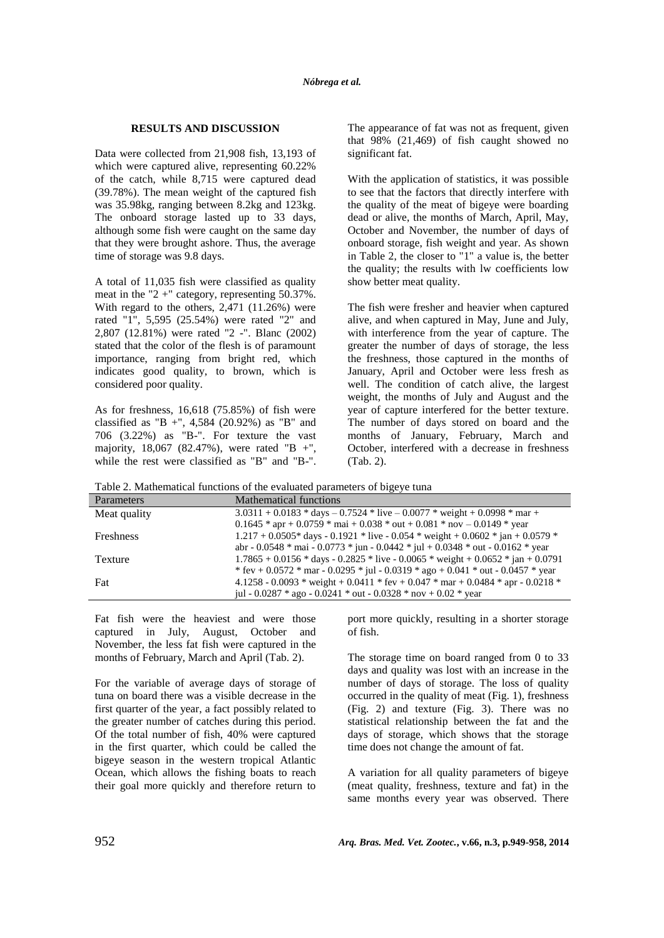### **RESULTS AND DISCUSSION**

Data were collected from 21,908 fish, 13,193 of which were captured alive, representing 60.22% of the catch, while 8,715 were captured dead (39.78%). The mean weight of the captured fish was 35.98kg, ranging between 8.2kg and 123kg. The onboard storage lasted up to 33 days, although some fish were caught on the same day that they were brought ashore. Thus, the average time of storage was 9.8 days.

A total of 11,035 fish were classified as quality meat in the "2 +" category, representing 50.37%. With regard to the others, 2,471 (11.26%) were rated "1", 5,595 (25.54%) were rated "2" and 2,807 (12.81%) were rated "2 -". Blanc (2002) stated that the color of the flesh is of paramount importance, ranging from bright red, which indicates good quality, to brown, which is considered poor quality.

As for freshness, 16,618 (75.85%) of fish were classified as "B +", 4,584 (20.92%) as "B" and 706 (3.22%) as "B-". For texture the vast majority, 18,067 (82.47%), were rated "B +", while the rest were classified as "B" and "B-".

The appearance of fat was not as frequent, given that 98% (21,469) of fish caught showed no significant fat.

With the application of statistics, it was possible to see that the factors that directly interfere with the quality of the meat of bigeye were boarding dead or alive, the months of March, April, May, October and November, the number of days of onboard storage, fish weight and year. As shown in Table 2, the closer to "1" a value is, the better the quality; the results with lw coefficients low show better meat quality.

The fish were fresher and heavier when captured alive, and when captured in May, June and July, with interference from the year of capture. The greater the number of days of storage, the less the freshness, those captured in the months of January, April and October were less fresh as well. The condition of catch alive, the largest weight, the months of July and August and the year of capture interfered for the better texture. The number of days stored on board and the months of January, February, March and October, interfered with a decrease in freshness (Tab. 2).

Table 2. Mathematical functions of the evaluated parameters of bigeye tuna

| <b>Parameters</b> | Mathematical functions                                                             |
|-------------------|------------------------------------------------------------------------------------|
| Meat quality      | $3.0311 + 0.0183 * days - 0.7524 * live - 0.0077 * weight + 0.0998 * mark$         |
|                   | $0.1645 * apr + 0.0759 * mai + 0.038 * out + 0.081 * nov - 0.0149 * year$          |
| <b>Freshness</b>  | $1.217 + 0.0505*$ days - 0.1921 * live - 0.054 * weight + 0.0602 * jan + 0.0579 *  |
|                   | abr - 0.0548 * mai - 0.0773 * jun - 0.0442 * jul + 0.0348 * out - 0.0162 * year    |
| Texture           | $1.7865 + 0.0156 * days - 0.2825 * live - 0.0065 * weight + 0.0652 * jan + 0.0791$ |
|                   | * fev + 0.0572 * mar - 0.0295 * jul - 0.0319 * ago + 0.041 * out - 0.0457 * year   |
| Fat               | 4.1258 - 0.0093 * weight + 0.0411 * fev + 0.047 * mar + 0.0484 * apr - 0.0218 *    |
|                   | jul - $0.0287 *$ ago - $0.0241 *$ out - $0.0328 *$ nov + $0.02 *$ year             |

Fat fish were the heaviest and were those captured in July, August, October and November, the less fat fish were captured in the months of February, March and April (Tab. 2).

For the variable of average days of storage of tuna on board there was a visible decrease in the first quarter of the year, a fact possibly related to the greater number of catches during this period. Of the total number of fish, 40% were captured in the first quarter, which could be called the bigeye season in the western tropical Atlantic Ocean, which allows the fishing boats to reach their goal more quickly and therefore return to port more quickly, resulting in a shorter storage of fish.

The storage time on board ranged from 0 to 33 days and quality was lost with an increase in the number of days of storage. The loss of quality occurred in the quality of meat (Fig. 1), freshness (Fig. 2) and texture (Fig. 3). There was no statistical relationship between the fat and the days of storage, which shows that the storage time does not change the amount of fat.

A variation for all quality parameters of bigeye (meat quality, freshness, texture and fat) in the same months every year was observed. There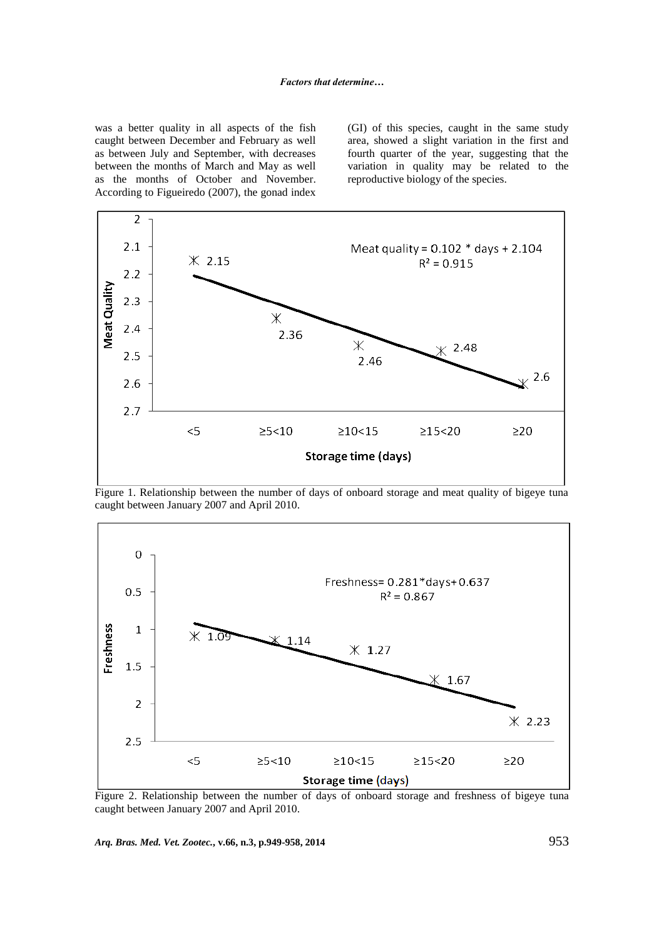was a better quality in all aspects of the fish caught between December and February as well as between July and September, with decreases between the months of March and May as well as the months of October and November. According to Figueiredo (2007), the gonad index (GI) of this species, caught in the same study area, showed a slight variation in the first and fourth quarter of the year, suggesting that the variation in quality may be related to the reproductive biology of the species.



Figure 1. Relationship between the number of days of onboard storage and meat quality of bigeye tuna caught between January 2007 and April 2010.



Figure 2. Relationship between the number of days of onboard storage and freshness of bigeye tuna caught between January 2007 and April 2010.

*Arq. Bras. Med. Vet. Zootec.***, v.66, n.3, p.949-958, 2014** 953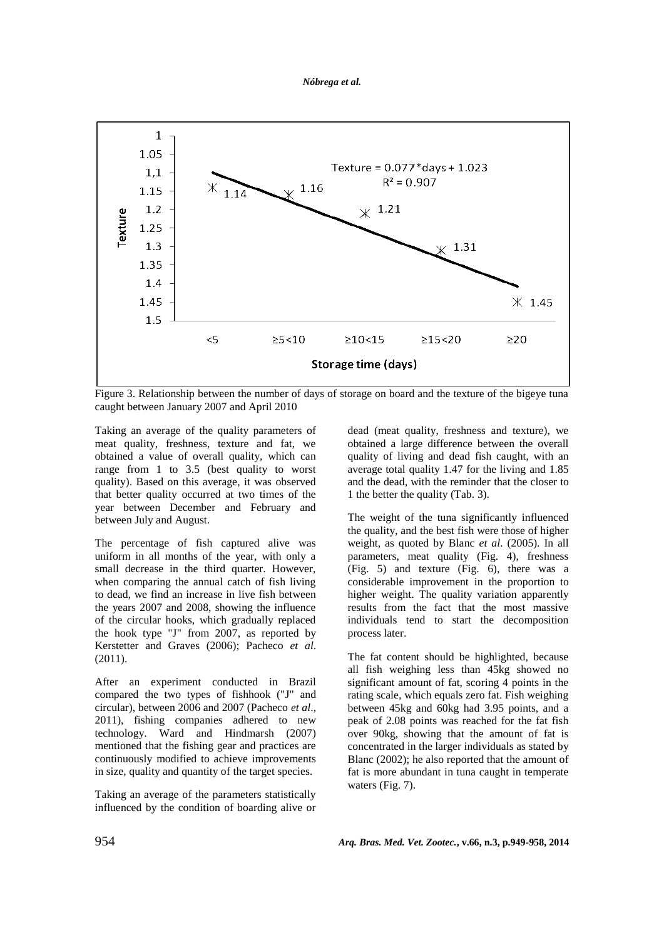

Figure 3. Relationship between the number of days of storage on board and the texture of the bigeye tuna caught between January 2007 and April 2010

Taking an average of the quality parameters of meat quality, freshness, texture and fat, we obtained a value of overall quality, which can range from 1 to 3.5 (best quality to worst quality). Based on this average, it was observed that better quality occurred at two times of the year between December and February and between July and August.

The percentage of fish captured alive was uniform in all months of the year, with only a small decrease in the third quarter. However, when comparing the annual catch of fish living to dead, we find an increase in live fish between the years 2007 and 2008, showing the influence of the circular hooks, which gradually replaced the hook type "J" from 2007, as reported by Kerstetter and Graves (2006); Pacheco *et al*. (2011).

After an experiment conducted in Brazil compared the two types of fishhook ("J" and circular), between 2006 and 2007 (Pacheco *et al*., 2011), fishing companies adhered to new technology. Ward and Hindmarsh (2007) mentioned that the fishing gear and practices are continuously modified to achieve improvements in size, quality and quantity of the target species.

Taking an average of the parameters statistically influenced by the condition of boarding alive or dead (meat quality, freshness and texture), we obtained a large difference between the overall quality of living and dead fish caught, with an average total quality 1.47 for the living and 1.85 and the dead, with the reminder that the closer to 1 the better the quality (Tab. 3).

The weight of the tuna significantly influenced the quality, and the best fish were those of higher weight, as quoted by Blanc *et al*. (2005). In all parameters, meat quality (Fig. 4), freshness (Fig. 5) and texture (Fig. 6), there was a considerable improvement in the proportion to higher weight. The quality variation apparently results from the fact that the most massive individuals tend to start the decomposition process later.

The fat content should be highlighted, because all fish weighing less than 45kg showed no significant amount of fat, scoring 4 points in the rating scale, which equals zero fat. Fish weighing between 45kg and 60kg had 3.95 points, and a peak of 2.08 points was reached for the fat fish over 90kg, showing that the amount of fat is concentrated in the larger individuals as stated by Blanc (2002); he also reported that the amount of fat is more abundant in tuna caught in temperate waters (Fig. 7).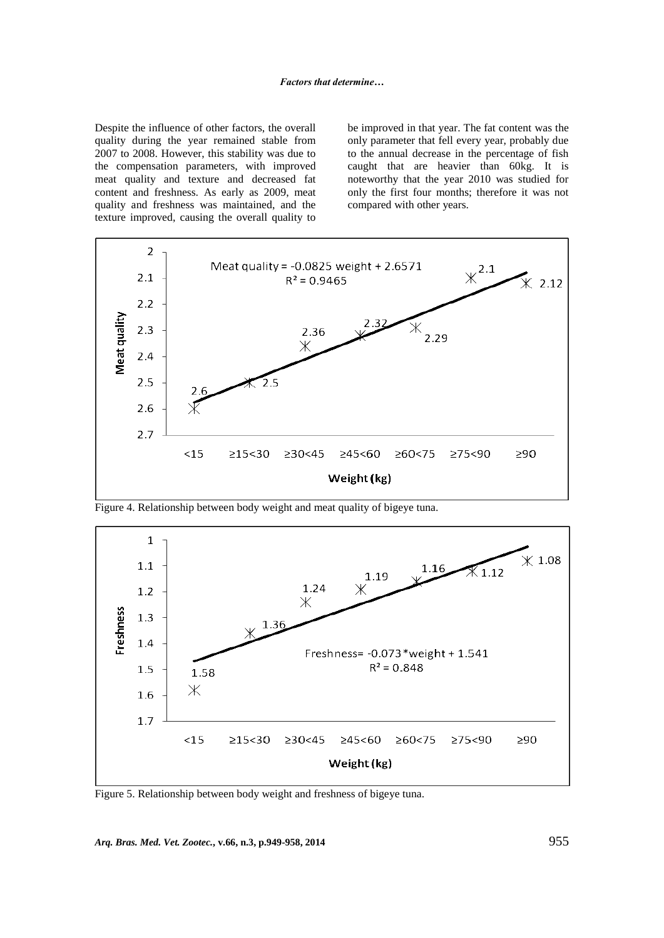Despite the influence of other factors, the overall quality during the year remained stable from 2007 to 2008. However, this stability was due to the compensation parameters, with improved meat quality and texture and decreased fat content and freshness. As early as 2009, meat quality and freshness was maintained, and the texture improved, causing the overall quality to be improved in that year. The fat content was the only parameter that fell every year, probably due to the annual decrease in the percentage of fish caught that are heavier than 60kg. It is noteworthy that the year 2010 was studied for only the first four months; therefore it was not compared with other years.



Figure 4. Relationship between body weight and meat quality of bigeye tuna.



Figure 5. Relationship between body weight and freshness of bigeye tuna.

*Arq. Bras. Med. Vet. Zootec.***, v.66, n.3, p.949-958, 2014** 955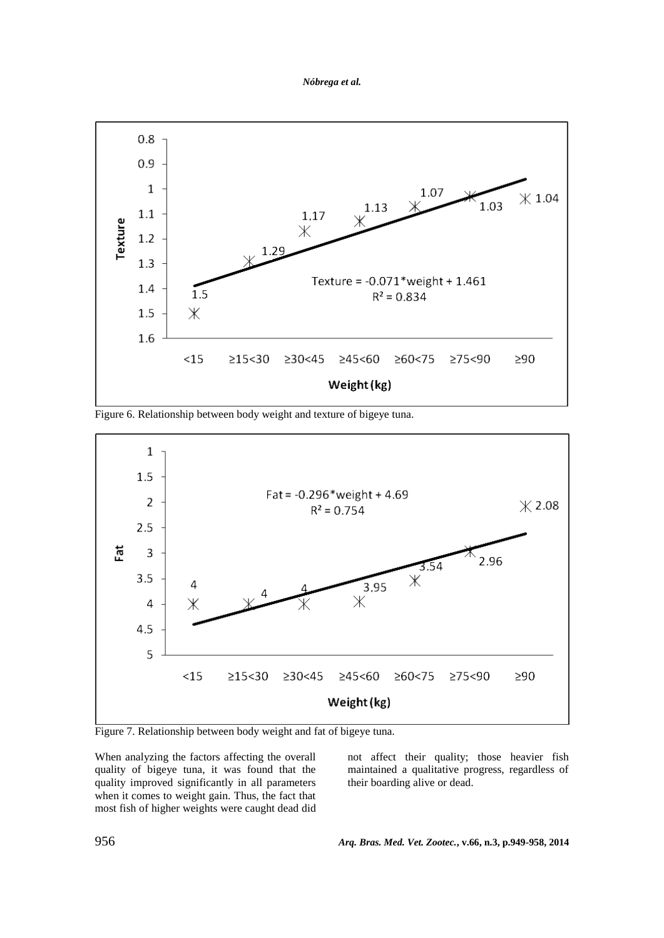*Nóbrega et al.*



Figure 6. Relationship between body weight and texture of bigeye tuna.



Figure 7. Relationship between body weight and fat of bigeye tuna.

When analyzing the factors affecting the overall quality of bigeye tuna, it was found that the quality improved significantly in all parameters when it comes to weight gain. Thus, the fact that most fish of higher weights were caught dead did not affect their quality; those heavier fish maintained a qualitative progress, regardless of their boarding alive or dead.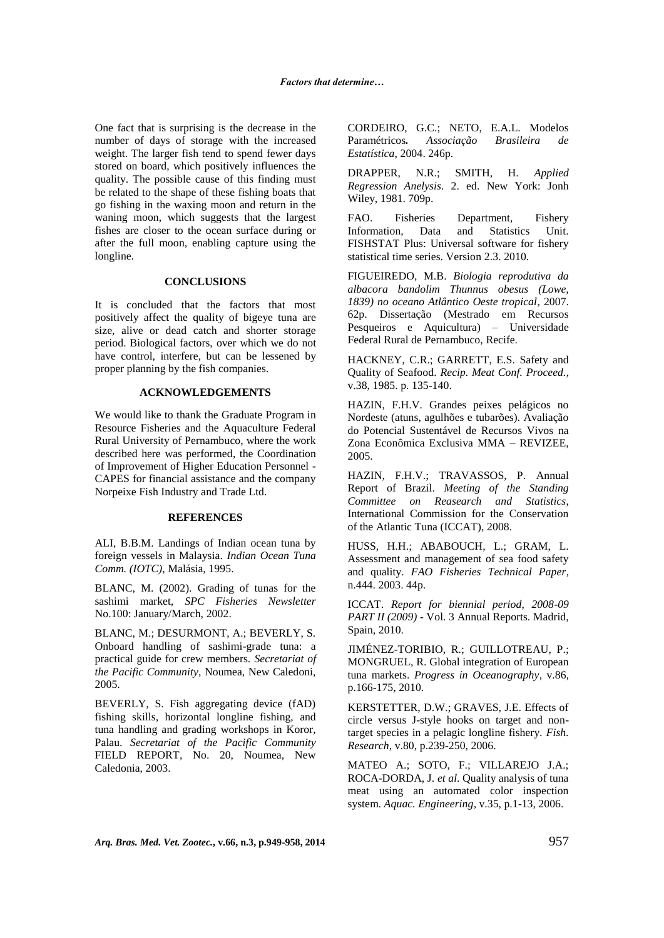One fact that is surprising is the decrease in the number of days of storage with the increased weight. The larger fish tend to spend fewer days stored on board, which positively influences the quality. The possible cause of this finding must be related to the shape of these fishing boats that go fishing in the waxing moon and return in the waning moon, which suggests that the largest fishes are closer to the ocean surface during or after the full moon, enabling capture using the longline.

### **CONCLUSIONS**

It is concluded that the factors that most positively affect the quality of bigeye tuna are size, alive or dead catch and shorter storage period. Biological factors, over which we do not have control, interfere, but can be lessened by proper planning by the fish companies.

### **ACKNOWLEDGEMENTS**

We would like to thank the Graduate Program in Resource Fisheries and the Aquaculture Federal Rural University of Pernambuco, where the work described here was performed, the Coordination of Improvement of Higher Education Personnel - CAPES for financial assistance and the company Norpeixe Fish Industry and Trade Ltd.

### **REFERENCES**

ALI, B.B.M. Landings of Indian ocean tuna by foreign vessels in Malaysia. *Indian Ocean Tuna Comm. (IOTC)*, Malásia, 1995.

BLANC, M. (2002). Grading of tunas for the sashimi market, *SPC Fisheries Newsletter* No.100: January/March, 2002.

BLANC, M.; DESURMONT, A.; BEVERLY, S. Onboard handling of sashimi-grade tuna: a practical guide for crew members. *Secretariat of the Pacific Community*, Noumea, New Caledoni, 2005.

BEVERLY, S. Fish aggregating device (fAD) fishing skills, horizontal longline fishing, and tuna handling and grading workshops in Koror, Palau. *Secretariat of the Pacific Community* FIELD REPORT, No. 20, Noumea, New Caledonia, 2003.

CORDEIRO, G.C.; NETO, E.A.L. Modelos Paramétricos*. Associação Brasileira de Estatística*, 2004. 246p.

DRAPPER, N.R.; SMITH, H. *Applied Regression Anelysis*. 2. ed. New York: Jonh Wiley, 1981. 709p.

FAO. Fisheries Department, Fishery Information, Data and Statistics Unit. FISHSTAT Plus: Universal software for fishery statistical time series. Version 2.3. 2010.

FIGUEIREDO, M.B. *Biologia reprodutiva da albacora bandolim Thunnus obesus (Lowe, 1839) no oceano Atlântico Oeste tropical*, 2007. 62p. Dissertação (Mestrado em Recursos Pesqueiros e Aquicultura) – Universidade Federal Rural de Pernambuco, Recife.

HACKNEY, C.R.; GARRETT, E.S. Safety and Quality of Seafood. *Recip. Meat Conf. Proceed.*, v.38, 1985. p. 135-140.

HAZIN, F.H.V. Grandes peixes pelágicos no Nordeste (atuns, agulhões e tubarões). Avaliação do Potencial Sustentável de Recursos Vivos na Zona Econômica Exclusiva MMA – REVIZEE, 2005.

HAZIN, F.H.V.; TRAVASSOS, P. Annual Report of Brazil. *Meeting of the Standing Committee on Reasearch and Statistics*, International Commission for the Conservation of the Atlantic Tuna (ICCAT), 2008.

HUSS, H.H.; ABABOUCH, L.; GRAM, L. Assessment and management of sea food safety and quality. *FAO Fisheries Technical Paper*, n.444. 2003. 44p.

ICCAT. *Report for biennial period, 2008-09 PART II (2009)* - Vol. 3 Annual Reports. Madrid, Spain, 2010.

JIMÉNEZ-TORIBIO, R.; GUILLOTREAU, P.; MONGRUEL, R. Global integration of European tuna markets. *Progress in Oceanography*, v.86, p.166-175, 2010.

KERSTETTER, D.W.; GRAVES, J.E. Effects of circle versus J-style hooks on target and nontarget species in a pelagic longline fishery*. Fish. Research*, v.80, p.239-250, 2006.

MATEO A.; SOTO, F.; VILLAREJO J.A.; ROCA-DORDA, J. *et al*. Quality analysis of tuna meat using an automated color inspection system. *Aquac. Engineering*, v.35, p.1-13, 2006.